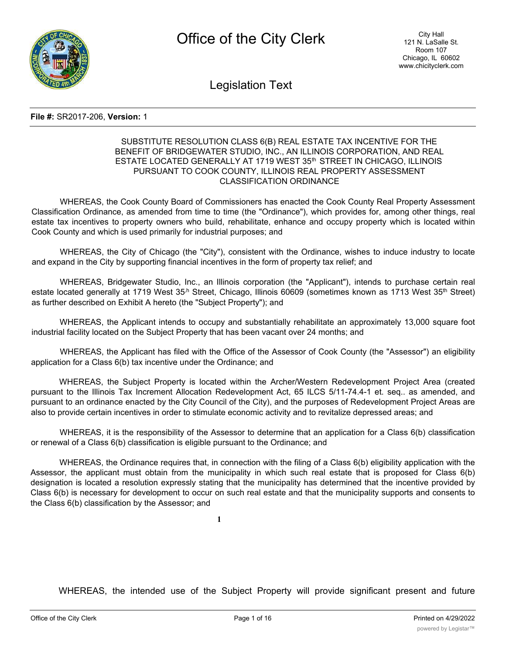

Legislation Text

#### **File #:** SR2017-206, **Version:** 1

## SUBSTITUTE RESOLUTION CLASS 6(B) REAL ESTATE TAX INCENTIVE FOR THE BENEFIT OF BRIDGEWATER STUDIO, INC., AN ILLINOIS CORPORATION, AND REAL ESTATE LOCATED GENERALLY AT 1719 WEST 35<sup>th</sup> STREET IN CHICAGO, ILLINOIS PURSUANT TO COOK COUNTY, ILLINOIS REAL PROPERTY ASSESSMENT CLASSIFICATION ORDINANCE

WHEREAS, the Cook County Board of Commissioners has enacted the Cook County Real Property Assessment Classification Ordinance, as amended from time to time (the "Ordinance"), which provides for, among other things, real estate tax incentives to property owners who build, rehabilitate, enhance and occupy property which is located within Cook County and which is used primarily for industrial purposes; and

WHEREAS, the City of Chicago (the "City"), consistent with the Ordinance, wishes to induce industry to locate and expand in the City by supporting financial incentives in the form of property tax relief; and

WHEREAS, Bridgewater Studio, Inc., an Illinois corporation (the "Applicant"), intends to purchase certain real estate located generally at 1719 West 35<sup>,h</sup> Street, Chicago, Illinois 60609 (sometimes known as 1713 West 35<sup>th</sup> Street) as further described on Exhibit A hereto (the "Subject Property"); and

WHEREAS, the Applicant intends to occupy and substantially rehabilitate an approximately 13,000 square foot industrial facility located on the Subject Property that has been vacant over 24 months; and

WHEREAS, the Applicant has filed with the Office of the Assessor of Cook County (the "Assessor") an eligibility application for a Class 6(b) tax incentive under the Ordinance; and

WHEREAS, the Subject Property is located within the Archer/Western Redevelopment Project Area (created pursuant to the Illinois Tax Increment Allocation Redevelopment Act, 65 ILCS 5/11-74.4-1 et. seq.. as amended, and pursuant to an ordinance enacted by the City Council of the City), and the purposes of Redevelopment Project Areas are also to provide certain incentives in order to stimulate economic activity and to revitalize depressed areas; and

WHEREAS, it is the responsibility of the Assessor to determine that an application for a Class 6(b) classification or renewal of a Class 6(b) classification is eligible pursuant to the Ordinance; and

WHEREAS, the Ordinance requires that, in connection with the filing of a Class 6(b) eligibility application with the Assessor, the applicant must obtain from the municipality in which such real estate that is proposed for Class 6(b) designation is located a resolution expressly stating that the municipality has determined that the incentive provided by Class 6(b) is necessary for development to occur on such real estate and that the municipality supports and consents to the Class 6(b) classification by the Assessor; and

**1**

WHEREAS, the intended use of the Subject Property will provide significant present and future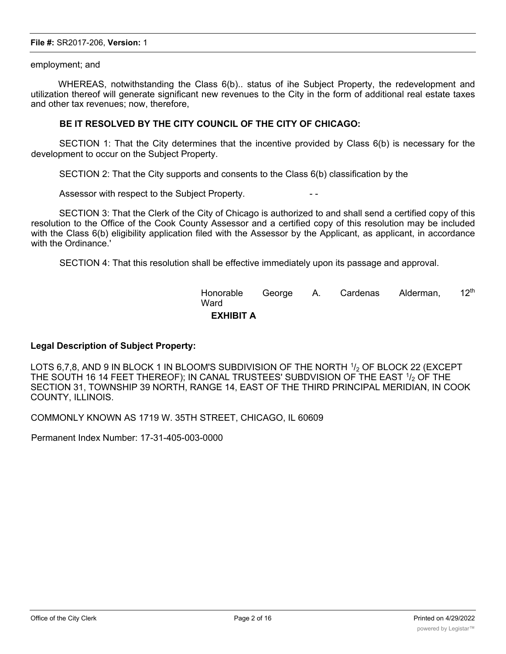#### employment; and

WHEREAS, notwithstanding the Class 6(b).. status of ihe Subject Property, the redevelopment and utilization thereof will generate significant new revenues to the City in the form of additional real estate taxes and other tax revenues; now, therefore,

# **BE IT RESOLVED BY THE CITY COUNCIL OF THE CITY OF CHICAGO:**

SECTION 1: That the City determines that the incentive provided by Class 6(b) is necessary for the development to occur on the Subject Property.

SECTION 2: That the City supports and consents to the Class 6(b) classification by the

Assessor with respect to the Subject Property.

SECTION 3: That the Clerk of the City of Chicago is authorized to and shall send a certified copy of this resolution to the Office of the Cook County Assessor and a certified copy of this resolution may be included with the Class 6(b) eligibility application filed with the Assessor by the Applicant, as applicant, in accordance with the Ordinance.'

SECTION 4: That this resolution shall be effective immediately upon its passage and approval.

| Honorable<br>Ward |  | George A. Cardenas Alderman, | $12^{\text{th}}$ |
|-------------------|--|------------------------------|------------------|
| <b>EXHIBIT A</b>  |  |                              |                  |

# **Legal Description of Subject Property:**

LOTS 6,7,8, AND 9 IN BLOCK 1 IN BLOOM'S SUBDIVISION OF THE NORTH  $1/2$  OF BLOCK 22 (EXCEPT THE SOUTH 16 14 FEET THEREOF); IN CANAL TRUSTEES' SUBDVISION OF THE EAST 1/2 OF THE SECTION 31, TOWNSHIP 39 NORTH, RANGE 14, EAST OF THE THIRD PRINCIPAL MERIDIAN, IN COOK COUNTY, ILLINOIS.

COMMONLY KNOWN AS 1719 W. 35TH STREET, CHICAGO, IL 60609

Permanent Index Number: 17-31-405-003-0000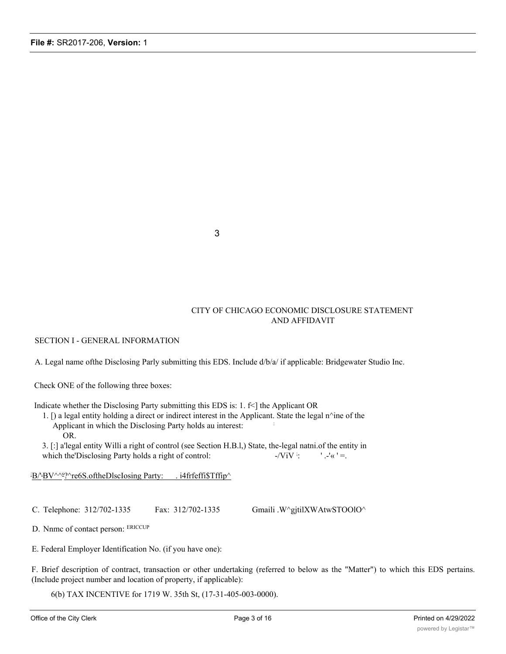3

## CITY OF CHICAGO ECONOMIC DISCLOSURE STATEMENT AND AFFIDAVIT

SECTION I - GENERAL INFORMATION

A. Legal name ofthe Disclosing Parly submitting this EDS. Include d/b/a/ if applicable: Bridgewater Studio Inc.

Check ONE of the following three boxes:

Indicate whether the Disclosing Party submitting this EDS is: 1. f<] the Applicant OR

1. [) a legal entity holding a direct or indirect interest in the Applicant. State the legal n^ine of the Applicant in which the Disclosing Party holds au interest: : OR.

3. [:] a'legal entity Willi a right of control (see Section H.B.l,) State, the-legal natni.of the entity in which the Disclosing Party holds a right of control:  $-ViV$  :  $'$ .-'«  $'$  =.

B/'BV^^<sup>s</sup>?^re6S.oftheDlscIosing Party: . i4frfeffi\$Tffip^

C. Telephone: 312/702-1335 Fax: 312/702-1335 Gmaili .W^gjtilXWAtwSTOOlO^

D. Nnmc of contact person: ERICCUP

E. Federal Employer Identification No. (if you have one):

F. Brief description of contract, transaction or other undertaking (referred to below as the "Matter") to which this EDS pertains. (Include project number and location of property, if applicable):

6(b) TAX INCENTIVE for 1719 W. 35th St, (17-31-405-003-0000).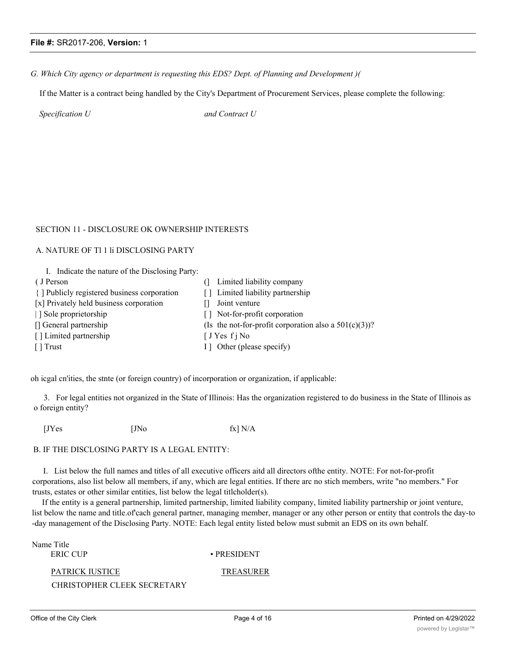#### *G. Which City agency or department is requesting this EDS? Dept. of Planning and Development )(*

If the Matter is a contract being handled by the City's Department of Procurement Services, please complete the following:

*Specification U and Contract U*

## SECTION 11 - DISCLOSURE OK OWNERSHIP INTERESTS

## A. NATURE OF Tl 1 li DISCLOSING PARTY

| I. Indicate the nature of the Disclosing Party: |  |
|-------------------------------------------------|--|
|-------------------------------------------------|--|

| (J Person                                    | Limited liability company                                |
|----------------------------------------------|----------------------------------------------------------|
| { ] Publicly registered business corporation | [] Limited liability partnership                         |
| [x] Privately held business corporation      | Joint venture                                            |
| Sole proprietorship                          | [] Not-for-profit corporation                            |
| [] General partnership                       | (Is the not-for-profit corporation also a $501(c)(3)$ )? |
| [] Limited partnership                       | $\int JY$ es f j No                                      |
| $\lceil \cdot \rceil$ Trust                  | I ] Other (please specify)                               |
|                                              |                                                          |

oh icgal cn'ities, the stnte (or foreign country) of incorporation or organization, if applicable:

3. For legal entities not organized in the State of Illinois: Has the organization registered to do business in the State of Illinois as o foreign entity?

 $[JYes$   $[JNo$   $fx] N/A$ 

### B. IF THE DISCLOSING PARTY IS A LEGAL ENTITY:

I. List below the full names and titles of all executive officers aitd all directors ofthe entity. NOTE: For not-for-profit corporations, also list below all members, if any, which are legal entities. If there arc no stich members, write "no members." For trusts, estates or other similar entities, list below the legal titlcholder(s).

If the entity is a general partnership, limited partnership, limited liability company, limited liability partnership or joint venture, list below the name and title.of cach general partner, managing member, manager or any other person or entity that controls the day-to -day management of the Disclosing Party. NOTE: Each legal entity listed below must submit an EDS on its own behalf.

Name Title

ERIC CUP • PRESIDENT

PATRICK IUSTICE TREASURER

CHRISTOPHER CLEEK SECRETARY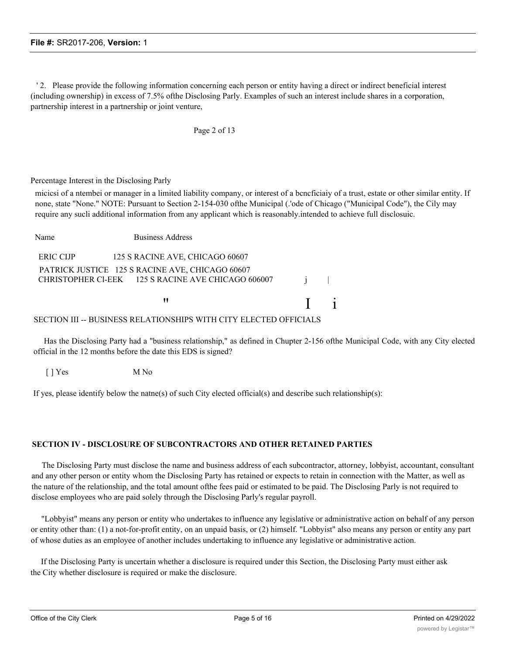' 2. Please provide the following information concerning each person or entity having a direct or indirect beneficial interest (including ownership) in excess of 7.5% ofthe Disclosing Parly. Examples of such an interest include shares in a corporation, partnership interest in a partnership or joint venture,

Page 2 of 13

Percentage Interest in the Disclosing Parly

micicsi of a ntembei or manager in a limited liability company, or interest of a bcncficiaiy of a trust, estate or other similar entity. If none, state "None." NOTE: Pursuant to Section 2-154-030 ofthe Municipal (.'ode of Chicago ("Municipal Code"), the Cily may require any sucli additional information from any applicant which is reasonably.intended to achieve full disclosuic.

| Name             | <b>Business Address</b>                                                                               |                |  |
|------------------|-------------------------------------------------------------------------------------------------------|----------------|--|
| <b>ERIC CIJP</b> | 125 S RACINE AVE, CHICAGO 60607                                                                       |                |  |
|                  | PATRICK JUSTICE 125 S RACINE AVE, CHICAGO 60607<br>CHRISTOPHER CI-EEK 125 S RACINE AVE CHICAGO 606007 |                |  |
|                  | "                                                                                                     | $\mathbf{1}$ 1 |  |
|                  | SECTION III -- BUSINESS RELATIONSHIPS WITH CITY ELECTED OFFICIALS                                     |                |  |

Has the Disclosing Party had a "business relationship," as defined in Chupter 2-156 ofthe Municipal Code, with any City elected official in the 12 months before the date this EDS is signed?

[ ] Yes M No

If yes, please identify below the natne(s) of such City elected official(s) and describe such relationship(s):

### **SECTION IV - DISCLOSURE OF SUBCONTRACTORS AND OTHER RETAINED PARTIES**

The Disclosing Party must disclose the name and business address of each subcontractor, attorney, lobbyist, accountant, consultant and any other person or entity whom the Disclosing Party has retained or expects to retain in connection with the Matter, as well as the nature of the relationship, and the total amount ofthe fees paid or estimated to be paid. The Disclosing Parly is not required to disclose employees who are paid solely through the Disclosing Parly's regular payroll.

"Lobbyist" means any person or entity who undertakes to influence any legislative or administrative action on behalf of any person or entity other than: (1) a not-for-profit entity, on an unpaid basis, or (2) himself. "Lobbyist" also means any person or entity any part of whose duties as an employee of another includes undertaking to influence any legislative or administrative action.

If the Disclosing Party is uncertain whether a disclosure is required under this Section, the Disclosing Party must either ask the City whether disclosure is required or make the disclosure.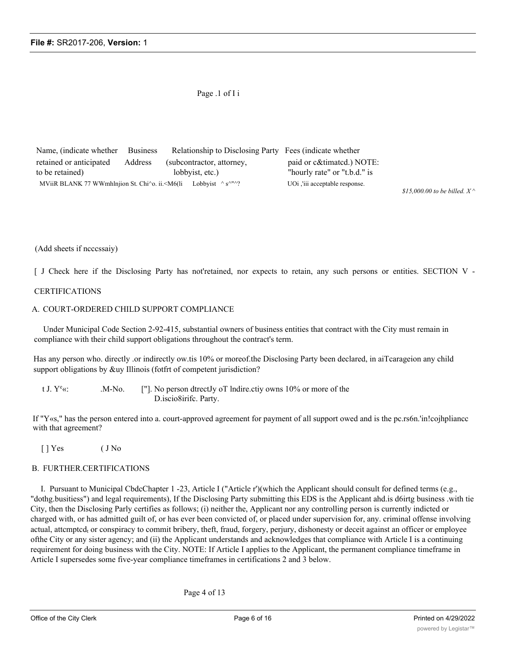### Page .1 of I i

| Name, (indicate whether Business                                                                                                                     |                 | Relationship to Disclosing Party Fees (indicate whether |                              |
|------------------------------------------------------------------------------------------------------------------------------------------------------|-----------------|---------------------------------------------------------|------------------------------|
| retained or anticipated                                                                                                                              | Address         | (subcontractor, attorney,                               | paid or c&timated.) NOTE:    |
| to be retained)                                                                                                                                      | lobbyist, etc.) |                                                         | "hourly rate" or "t.b.d." is |
| MViiR BLANK 77 WWmhlnjion St. Chi $\infty$ . ii. $\leq M6$ (li Lobbyist $\wedge$ s $\wedge$ <sup>n</sup> $\wedge$ ?<br>UOi, iii acceptable response. |                 |                                                         |                              |

*\$15,000.00 to be billed. X ^*

#### (Add sheets if ncccssaiy)

[ J Check here if the Disclosing Party has not'retained, nor expects to retain, any such persons or entities. SECTION V -

#### CERTIFICATIONS

#### A. COURT-ORDERED CHILD SUPPORT COMPLIANCE

Under Municipal Code Section 2-92-415, substantial owners of business entities that contract with the City must remain in compliance with their child support obligations throughout the contract's term.

Has any person who. directly .or indirectly ow.tis 10% or moreof.the Disclosing Party been declared, in aiTcarageion any child support obligations by &uy Illinois (fotfrt of competent jurisdiction?

t J.  $Y^e$ «:  $\cdot$  M-No. ["]. No person dtrectJy oT lndire.ctiy owns 10% or more of the D.iscio8irifc. Party.

If "Y«s," has the person entered into a. court-approved agreement for payment of all support owed and is the pc.rs6n.'in!cojhpliancc with that agreement?

[ ] Yes ( J No

#### B. FURTHER.CERTIFICATIONS

I. Pursuant to Municipal CbdcChapter 1 -23, Article I ("Article r')(which the Applicant should consult for defined terms (e.g., "dothg.busitiess") and legal requirements), If the Disclosing Party submitting this EDS is the Applicant ahd.is d6irtg business .with tie City, then the Disclosing Parly certifies as follows; (i) neither the, Applicant nor any controlling person is currently indicted or charged with, or has admitted guilt of, or has ever been convicted of, or placed under supervision for, any. criminal offense involving actual, attcmptcd<sub>t</sub> or conspiracy to commit bribery, theft, fraud, forgery, perjury, dishonesty or deceit against an officer or employee ofthe City or any sister agency; and (ii) the Applicant understands and acknowledges that compliance with Article I is a continuing requirement for doing business with the City. NOTE: If Article I applies to the Applicant, the permanent compliance timeframe in Article I supersedes some five-year compliance timeframes in certifications 2 and 3 below.

Page 4 of 13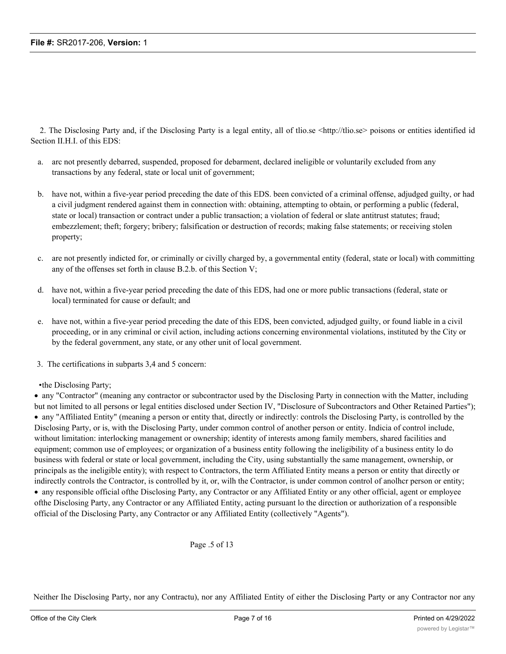2. The Disclosing Party and, if the Disclosing Party is a legal entity, all of thio.se <http://tlio.se> poisons or entities identified id Section II.H.I. of this EDS:

- a. arc not presently debarred, suspended, proposed for debarment, declared ineligible or voluntarily excluded from any transactions by any federal, state or local unit of government;
- b. have not, within a five-year period preceding the date of this EDS. been convicted of a criminal offense, adjudged guilty, or had a civil judgment rendered against them in connection with: obtaining, attempting to obtain, or performing a public (federal, state or local) transaction or contract under a public transaction; a violation of federal or slate antitrust statutes; fraud; embezzlement; theft; forgery; bribery; falsification or destruction of records; making false statements; or receiving stolen property;
- c. are not presently indicted for, or criminally or civilly charged by, a governmental entity (federal, state or local) with committing any of the offenses set forth in clause B.2.b. of this Section V;
- d. have not, within a five-year period preceding the date of this EDS, had one or more public transactions (federal, state or local) terminated for cause or default; and
- e. have not, within a five-year period preceding the date of this EDS, been convicted, adjudged guilty, or found liable in a civil proceeding, or in any criminal or civil action, including actions concerning environmental violations, instituted by the City or by the federal government, any state, or any other unit of local government.
- 3. The certifications in subparts 3,4 and 5 concern:
- •the Disclosing Party;

· any "Contractor" (meaning any contractor or subcontractor used by the Disclosing Party in connection with the Matter, including but not limited to all persons or legal entities disclosed under Section IV, "Disclosure of Subcontractors and Other Retained Parties"); · any "Affiliated Entity" (meaning a person or entity that, directly or indirectly: controls the Disclosing Party, is controlled by the Disclosing Party, or is, with the Disclosing Party, under common control of another person or entity. Indicia of control include, without limitation: interlocking management or ownership; identity of interests among family members, shared facilities and equipment; common use of employees; or organization of a business entity following the ineligibility of a business entity lo do business with federal or state or local government, including the City, using substantially the same management, ownership, or principals as the ineligible entity); with respect to Contractors, the term Affiliated Entity means a person or entity that directly or indirectly controls the Contractor, is controlled by it, or, wilh the Contractor, is under common control of anolhcr person or entity; · any responsible official ofthe Disclosing Party, any Contractor or any Affiliated Entity or any other official, agent or employee

ofthe Disclosing Party, any Contractor or any Affiliated Entity, acting pursuant lo the direction or authorization of a responsible official of the Disclosing Party, any Contractor or any Affiliated Entity (collectively "Agents").

Page .5 of 13

Neither Ihe Disclosing Party, nor any Contractu), nor any Affiliated Entity of either the Disclosing Party or any Contractor nor any Agents have, during the five years before the date this EDS is signed, 01, wilh respect to a Contractor, an Affiliated Entity, or an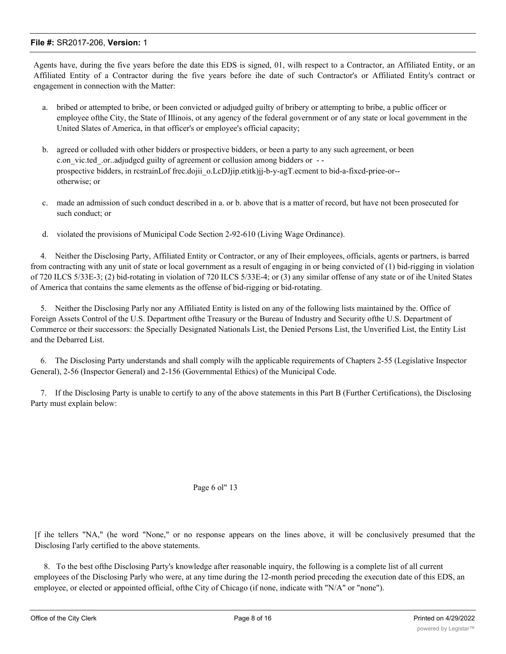Agents have, during the five years before the date this EDS is signed, 01, wilh respect to a Contractor, an Affiliated Entity, or an Affiliated Entity of a Contractor during the five years before ihe date of such Contractor's or Affiliated Entity's contract or engagement in connection with the Matter:

- a. bribed or attempted to bribe, or been convicted or adjudged guilty of bribery or attempting to bribe, a public officer or employee ofthe City, the State of Illinois, ot any agency of the federal government or of any state or local government in the United Slates of America, in that officer's or employee's official capacity;
- b. agreed or colluded with other bidders or prospective bidders, or been a party to any such agreement, or been c.on vic.ted .or..adjudged guilty of agreement or collusion among bidders or -prospective bidders, in rcstrainLof frec.dojii\_o.LcDJjip.etitk)jj-b-y-agT.ecment to bid-a-fixcd-priee-or-otherwise; or
- c. made an admission of such conduct described in a. or b. above that is a matter of record, but have not been prosecuted for such conduct; or
- d. violated the provisions of Municipal Code Section 2-92-610 (Living Wage Ordinance).

4. Neither the Disclosing Party, Affiliated Entity or Contractor, or any of Iheir employees, officials, agents or partners, is barred from contracting with any unit of state or local government as a result of engaging in or being convicted of (1) bid-rigging in violation of 720 ILCS 5/33E-3; (2) bid-rotating in violation of 720 ILCS 5/33E-4; or (3) any similar offense of any state or of ihe United States of America that contains the same elements as the offense of bid-rigging or bid-rotating.

5. Neither the Disclosing Parly nor any Affiliated Entity is listed on any of the following lists maintained by the. Office of Foreign Assets Control of the U.S. Department ofthe Treasury or the Bureau of Industry and Security ofthe U.S. Department of Commerce or their successors: the Specially Designated Nationals List, the Denied Persons List, the Unverified List, the Entity List and the Debarred List.

6. The Disclosing Party understands and shall comply wilh the applicable requirements of Chapters 2-55 (Legislative Inspector General), 2-56 (Inspector General) and 2-156 (Governmental Ethics) of the Municipal Code.

7. If the Disclosing Party is unable to certify to any of the above statements in this Part B (Further Certifications), the Disclosing Party must explain below:

#### Page 6 ol" 13

[f ihe tellers "NA," (he word "None," or no response appears on the lines above, it will be conclusively presumed that the Disclosing I'arly certified to the above statements.

8. To the best ofthe Disclosing Party's knowledge after reasonable inquiry, the following is a complete list of all current employees of the Disclosing Parly who were, at any time during the 12-month period preceding the execution date of this EDS, an employee, or elected or appointed official, ofthe City of Chicago (if none, indicate with "N/A" or "none").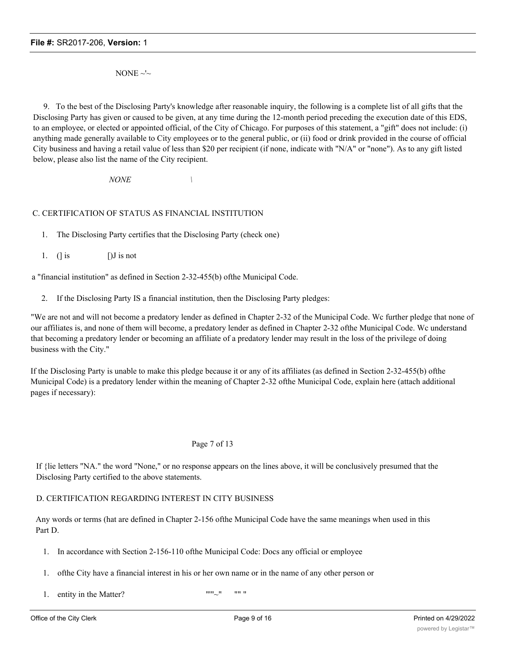NONE  $\sim$ 

9. To the best of the Disclosing Party's knowledge after reasonable inquiry, the following is a complete list of all gifts that the Disclosing Party has given or caused to be given, at any time during the 12-month period preceding the execution date of this EDS, to an employee, or elected or appointed official, of the City of Chicago. For purposes of this statement, a "gift" does not include: (i) anything made generally available to City employees or to the general public, or (ii) food or drink provided in the course of official City business and having a retail value of less than \$20 per recipient (if none, indicate with "N/A" or "none"). As to any gift listed below, please also list the name of the City recipient.

*NONE \*

## C. CERTIFICATION OF STATUS AS FINANCIAL INSTITUTION

1. The Disclosing Party certifies that the Disclosing Party (check one)

1. ( $\int$  is [) J is not

a "financial institution" as defined in Section 2-32-455(b) ofthe Municipal Code.

2. If the Disclosing Party IS a financial institution, then the Disclosing Party pledges:

"We are not and will not become a predatory lender as defined in Chapter 2-32 of the Municipal Code. Wc further pledge that none of our affiliates is, and none of them will become, a predatory lender as defined in Chapter 2-32 ofthe Municipal Code. Wc understand that becoming a predatory lender or becoming an affiliate of a predatory lender may result in the loss of the privilege of doing business with the City."

If the Disclosing Party is unable to make this pledge because it or any of its affiliates (as defined in Section 2-32-455(b) ofthe Municipal Code) is a predatory lender within the meaning of Chapter 2-32 ofthe Municipal Code, explain here (attach additional pages if necessary):

### Page 7 of 13

If {lie letters "NA." the word "None," or no response appears on the lines above, it will be conclusively presumed that the Disclosing Party certified to the above statements.

### D. CERTIFICATION REGARDING INTEREST IN CITY BUSINESS

Any words or terms (hat are defined in Chapter 2-156 ofthe Municipal Code have the same meanings when used in this Part D.

- 1. In accordance with Section 2-156-110 ofthe Municipal Code: Docs any official or employee
- 1. ofthe City have a financial interest in his or her own name or in the name of any other person or
- 1. entity in the Matter?  $"''"$  "" ""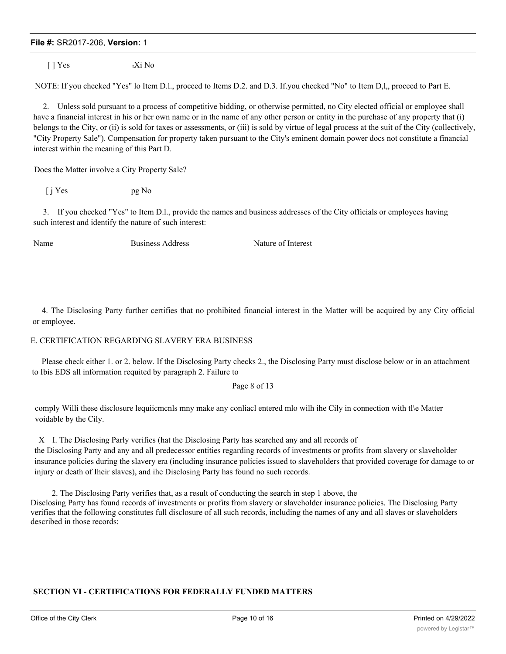$\lceil \cdot \rceil$  Yes tXi No

NOTE: If you checked "Yes" lo Item D.l., proceed to Items D.2. and D.3. If you checked "No" to Item D, l, proceed to Part E.

2. Unless sold pursuant to a process of competitive bidding, or otherwise permitted, no City elected official or employee shall have a financial interest in his or her own name or in the name of any other person or entity in the purchase of any property that (i) belongs to the City, or (ii) is sold for taxes or assessments, or (iii) is sold by virtue of legal process at the suit of the City (collectively, "City Property Sale"). Compensation for property taken pursuant to the City's eminent domain power docs not constitute a financial interest within the meaning of this Part D.

Does the Matter involve a City Property Sale?

 $[i] Yes$  pg No

3. If you checked "Yes" to Item D.l., provide the names and business addresses of the City officials or employees having such interest and identify the nature of such interest:

Name Business Address Nature of Interest

4. The Disclosing Party further certifies that no prohibited financial interest in the Matter will be acquired by any City official or employee.

### E. CERTIFICATION REGARDING SLAVERY ERA BUSINESS

Please check either 1. or 2. below. If the Disclosing Party checks 2., the Disclosing Party must disclose below or in an attachment to Ibis EDS all information requited by paragraph 2. Failure to

#### Page 8 of 13

comply Willi these disclosure lequiicmcnls mny make any conliacl entered mlo wilh ihe Cily in connection with tl\e Matter voidable by the Cily.

X I. The Disclosing Parly verifies (hat the Disclosing Party has searched any and all records of the Disclosing Party and any and all predecessor entities regarding records of investments or profits from slavery or slaveholder

insurance policies during the slavery era (including insurance policies issued to slaveholders that provided coverage for damage to or injury or death of Iheir slaves), and ihe Disclosing Party has found no such records.

2. The Disclosing Party verifies that, as a result of conducting the search in step 1 above, the Disclosing Party has found records of investments or profits from slavery or slaveholder insurance policies. The Disclosing Party verifies that the following constitutes full disclosure of all such records, including the names of any and all slaves or slaveholders described in those records:

### **SECTION VI - CERTIFICATIONS FOR FEDERALLY FUNDED MATTERS**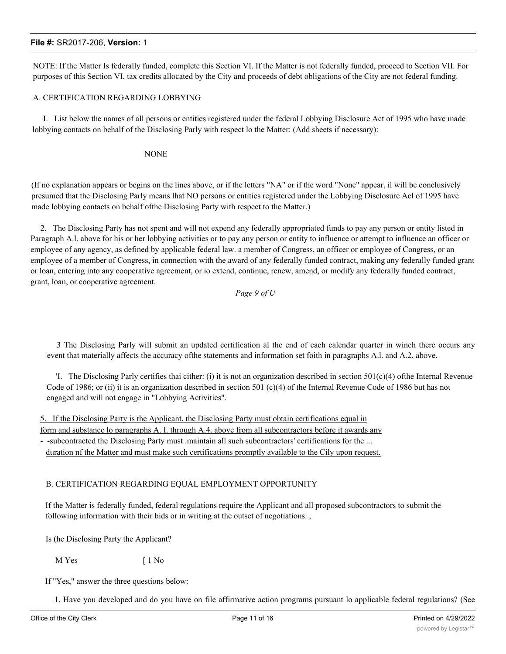NOTE: If the Matter Is federally funded, complete this Section VI. If the Matter is not federally funded, proceed to Section VII. For purposes of this Section VI, tax credits allocated by the City and proceeds of debt obligations of the City are not federal funding.

#### A. CERTIFICATION REGARDING LOBBYING

I. List below the names of all persons or entities registered under the federal Lobbying Disclosure Act of 1995 who have made lobbying contacts on behalf of the Disclosing Parly with respect lo the Matter: (Add sheets if necessary):

NONE

(If no explanation appears or begins on the lines above, or if the letters "NA" or if the word "None" appear, il will be conclusively presumed that the Disclosing Parly means lhat NO persons or entities registered under the Lobbying Disclosure Acl of 1995 have made lobbying contacts on behalf ofthe Disclosing Party with respect to the Matter.)

2. The Disclosing Party has not spent and will not expend any federally appropriated funds to pay any person or entity listed in Paragraph A.l. above for his or her lobbying activities or to pay any person or entity to influence or attempt to influence an officer or employee of any agency, as defined by applicable federal law. a member of Congress, an officer or employee of Congress, or an employee of a member of Congress, in connection with the award of any federally funded contract, making any federally funded grant or loan, entering into any cooperative agreement, or io extend, continue, renew, amend, or modify any federally funded contract, grant, loan, or cooperative agreement.

*Page 9 of U*

3 The Disclosing Parly will submit an updated certification al the end of each calendar quarter in winch there occurs any event that materially affects the accuracy ofthe statements and information set foith in paragraphs A.l. and A.2. above.

'I. The Disclosing Parly certifies thai cither: (i) it is not an organization described in section  $501(c)(4)$  ofthe Internal Revenue Code of 1986; or (ii) it is an organization described in section 501 (c)(4) of the Internal Revenue Code of 1986 but has not engaged and will not engage in "Lobbying Activities".

5. If the Disclosing Party is the Applicant, the Disclosing Party must obtain certifications equal in form and substance lo paragraphs A. I. through A.4. above from all subcontractors before it awards any - -subcontracted the Disclosing Party must .maintain all such subcontractors' certifications for the ... duration nf the Matter and must make such certifications promptly available to the Cily upon request.

### B. CERTIFICATION REGARDING EQUAL EMPLOYMENT OPPORTUNITY

If the Matter is federally funded, federal regulations require the Applicant and all proposed subcontractors to submit the following information with their bids or in writing at the outset of negotiations. ,

Is (he Disclosing Party the Applicant?

M Yes [ 1 No

If "Yes," answer the three questions below:

1. Have you developed and do you have on file affirmative action programs pursuant lo applicable federal regulations? (See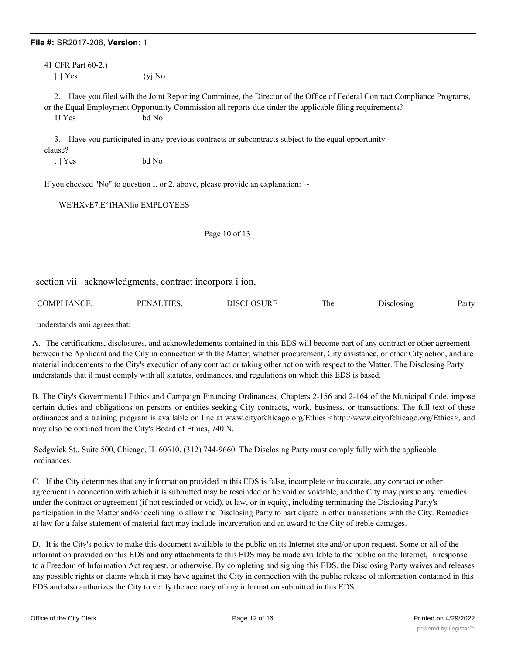41 CFR Part 60-2.)  $[ ]$  Yes  $\{yi \space No$ 

2. Have you filed wilh the Joint Reporting Committee, the Director of the Office of Federal Contract Compliance Programs, or the Equal Employment Opportunity Commission all reports due tinder the applicable filing requirements? IJ Yes bd No

3. Have you participated in any previous contracts or subcontracts subject to the equal opportunity clause?

t ] Yes bd No

If you checked "No" to question I. or 2. above, please provide an explanation: '~

WE'HXvE7.E^fHANlio EMPLOYEES

Page 10 of 13

section vii acknowledgments, contract incorpora i ion,

| COMPLIANCE. | PENALTIES. | DISCLOSURE | 1 he | Disclosing | Party |
|-------------|------------|------------|------|------------|-------|
|-------------|------------|------------|------|------------|-------|

understands ami agrees that:

A. The certifications, disclosures, and acknowledgments contained in this EDS will become part of any contract or other agreement between the Applicant and the Cily in connection with the Matter, whether procurement, City assistance, or other City action, and are material inducements to the City's execution of any contract or taking other action with respect to the Matter. The Disclosing Party understands that il must comply with all statutes, ordinances, and regulations on which this EDS is based.

B. The City's Governmental Ethics and Campaign Financing Ordinances, Chapters 2-156 and 2-164 of the Municipal Code, impose certain duties and obligations on persons or entities seeking City contracts, work, business, or transactions. The full text of these ordinances and a training program is available on line at www.cityofchicago.org/Ethics <http://www.cityofchicago.org/Ethics>, and may also be obtained from the City's Board of Ethics, 740 N.

Sedgwick St., Suite 500, Chicago, IL 60610, (312) 744-9660. The Disclosing Party must comply fully with the applicable ordinances.

C. If the City determines that any information provided in this EDS is false, incomplete or inaccurate, any contract or other agreement in connection with which it is submitted may be rescinded or be void or voidable, and the City may pursue any remedies under the contract or agreement (if not rescinded or void), at law, or in equity, including terminating the Disclosing Party's participation in the Matter and/or declining lo allow the Disclosing Party to participate in other transactions with the City. Remedies at law for a false statement of material fact may include incarceration and an award to the City of treble damages.

D. It is the City's policy to make this document available to the public on its Internet site and/or upon request. Some or all of the information provided on this EDS and any attachments to this EDS may be made available to the public on the Internet, in response to a Freedom of Information Act request, or otherwise. By completing and signing this EDS, the Disclosing Party waives and releases any possible rights or claims which it may have against the City in connection with the public release of information contained in this EDS and also authorizes the City to verify the accuracy of any information submitted in this EDS.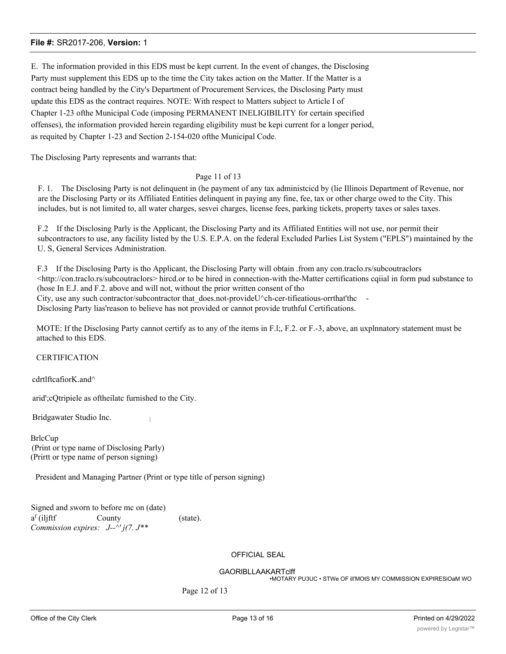E. The information provided in this EDS must be kept current. In the event of changes, the Disclosing Party must supplement this EDS up to the time the City takes action on the Matter. If the Matter is a contract being handled by the City's Department of Procurement Services, the Disclosing Party must update this EDS as the contract requires. NOTE: With respect to Matters subject to Article I of Chapter 1-23 ofthe Municipal Code (imposing PERMANENT INELIGIBILITY for certain specified offenses), the information provided herein regarding eligibility must be kepi current for a longer period, as requited by Chapter 1-23 and Section 2-154-020 ofthe Municipal Code.

The Disclosing Party represents and warrants that:

#### Page 11 of 13

F. 1. The Disclosing Party is not delinquent in (he payment of any tax administcicd by (lie Illinois Department of Revenue, nor are the Disclosing Party or its Affiliated Entities delinquent in paying any fine, fee, tax or other charge owed to the City. This includes, but is not limited to, all water charges, sesvei charges, license fees, parking tickets, property taxes or sales taxes.

F.2 If the Disclosing Parly is the Applicant, the Disclosing Party and its Affiliated Entities will not use, nor permit their subcontractors to use, any facility listed by the U.S. E.P.A. on the federal Excluded Parlies List System ("EPLS") maintained by the U. S, General Services Administration.

F.3 If the Disclosing Party is tho Applicant, the Disclosing Party will obtain .from any con.traclo.rs/subcoutraclors  $\leq$ http://con.traclo.rs/subcoutraclors> hircd.or to be hired in connection-with the-Matter certifications cqiial in form pud substance to (hose In E.J. and F.2. above and will not, without the prior written consent of tho City, use any such contractor/subcontractor that  $does.$ not-provideU $\degree$ ch-cer-tifieatious-orrthat'thc Disclosing Party lias'reason to believe has not provided or cannot provide truthful Certifications.

MOTE: If the Disclosing Party cannot certify as to any of the items in F.l;, F.2. or F.-3, above, an uxplnnatory statement must be attached to this EDS.

#### CERTIFICATION

cdrtlftcafiorK.and^

arid';cQtripiele as oftheilatc furnished to the City.

Bridgawater Studio Inc. <sup>|</sup>

**BrlcCup** (Print or type name of Disclosing Parly) (Prirtt or type name of person signing)

President and Managing Partner (Print or type title of person signing)

Signed and sworn to before mc on (date)  $a<sup>f</sup>$  (iljftf County (state). *Commission expires: J--^' j(7. J\*\**

# OFFICIAL SEAL

GAORlBLLAAKARTclff

•MOTARY PU3UC • STWe OF ill'MOtS MY COMMISSION EXPIRESiOaM WO

Page 12 of 13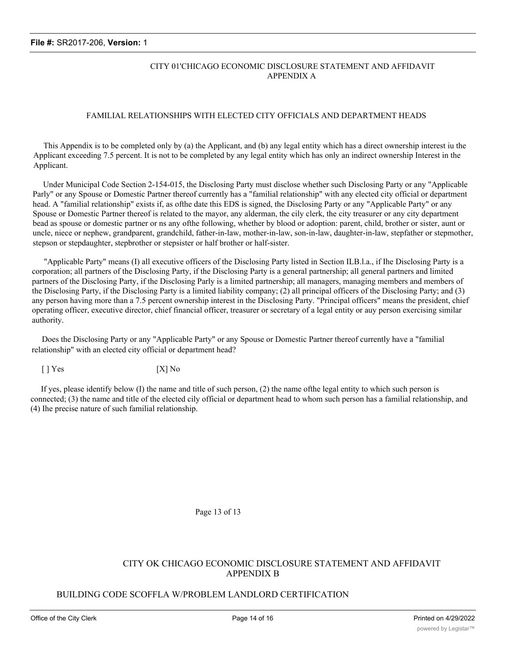# CITY 01'CHICAGO ECONOMIC DISCLOSURE STATEMENT AND AFFIDAVIT APPENDIX A

## FAMILIAL RELATIONSHIPS WITH ELECTED CITY OFFICIALS AND DEPARTMENT HEADS

This Appendix is to be completed only by (a) the Applicant, and (b) any legal entity which has a direct ownership interest iu the Applicant exceeding 7.5 percent. It is not to be completed by any legal entity which has only an indirect ownership Interest in the Applicant.

Under Municipal Code Section 2-154-015, the Disclosing Party must disclose whether such Disclosing Party or any "Applicable Parly" or any Spouse or Domestic Partner thereof currently has a "familial relationship" with any elected city official or department head. A "familial relationship" exists if, as ofthe date this EDS is signed, the Disclosing Party or any "Applicable Party" or any Spouse or Domestic Partner thereof is related to the mayor, any alderman, the cily clerk, the city treasurer or any city department bead as spouse or domestic partner or ns any ofthe following, whether by blood or adoption: parent, child, brother or sister, aunt or uncle, niece or nephew, grandparent, grandchild, father-in-law, mother-in-law, son-in-law, daughter-in-law, stepfather or stepmother, stepson or stepdaughter, stepbrother or stepsister or half brother or half-sister.

"Applicable Party" means (I) all executive officers of the Disclosing Party listed in Section ILB.l.a., if Ihe Disclosing Party is a corporation; all partners of the Disclosing Party, if the Disclosing Party is a general partnership; all general partners and limited partners of the Disclosing Party, if the Disclosing Parly is a limited partnership; all managers, managing members and members of the Disclosing Party, if the Disclosing Party is a limited liability company; (2) all principal officers of the Disclosing Party; and (3) any person having more than a 7.5 percent ownership interest in the Disclosing Party. "Principal officers" means the president, chief operating officer, executive director, chief financial officer, treasurer or secretary of a legal entity or auy person exercising similar authority.

Does the Disclosing Party or any "Applicable Party" or any Spouse or Domestic Partner thereof currently have a "familial relationship" with an elected city official or department head?

 $[$   $]$  Yes  $[$   $[$   $]$  Yes  $[$   $]$  No

If yes, please identify below (I) the name and title of such person, (2) the name ofthe legal entity to which such person is connected; (3) the name and title of the elected cily official or department head to whom such person has a familial relationship, and (4) Ihe precise nature of such familial relationship.

Page 13 of 13

# CITY OK CHICAGO ECONOMIC DISCLOSURE STATEMENT AND AFFIDAVIT APPENDIX B

# BUILDING CODE SCOFFLA W/PROBLEM LANDLORD CERTIFICATION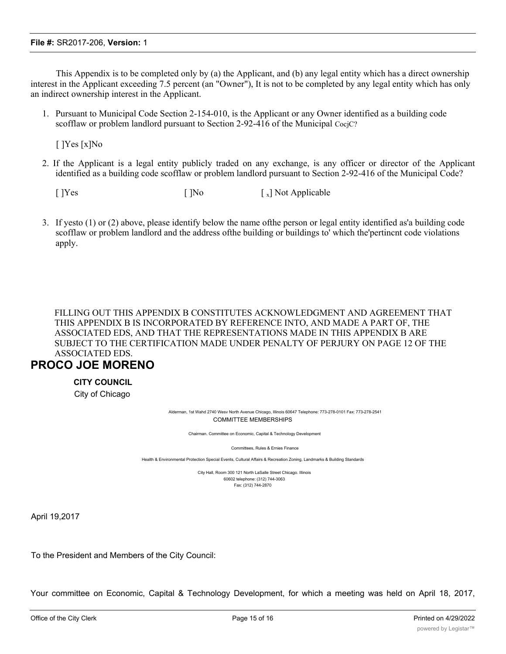This Appendix is to be completed only by (a) the Applicant, and (b) any legal entity which has a direct ownership interest in the Applicant exceeding 7.5 percent (an "Owner"), It is not to be completed by any legal entity which has only an indirect ownership interest in the Applicant.

1. Pursuant to Municipal Code Section 2-154-010, is the Applicant or any Owner identified as a building code scofflaw or problem landlord pursuant to Section 2-92-416 of the Municipal CocjC?

[ ]Yes [x]No

2. If the Applicant is a legal entity publicly traded on any exchange, is any officer or director of the Applicant identified as a building code scofflaw or problem landlord pursuant to Section 2-92-416 of the Municipal Code?

 $[$   $]$ Yes  $[$   $]$ No  $[$   $]$ Not Applicable

3. If yesto (1) or (2) above, please identify below the name ofthe person or legal entity identified as'a building code scofflaw or problem landlord and the address ofthe building or buildings to' which the'pertincnt code violations apply.

FILLING OUT THIS APPENDIX B CONSTITUTES ACKNOWLEDGMENT AND AGREEMENT THAT THIS APPENDIX B IS INCORPORATED BY REFERENCE INTO, AND MADE A PART OF, THE ASSOCIATED EDS, AND THAT THE REPRESENTATIONS MADE IN THIS APPENDIX B ARE SUBJECT TO THE CERTIFICATION MADE UNDER PENALTY OF PERJURY ON PAGE 12 OF THE ASSOCIATED EDS.

# **PROCO JOE MORENO**

# **CITY COUNCIL**

City of Chicago

Alderman, 1st Wahd 2740 Wesv North Avenue Chicago, Illinois 60647 Telephone: 773-278-0101 Fax: 773-278-2541 COMMITTEE MEMBERSHIPS

Chairman. Committee on Economic, Capital & Technology Development

Committees, Rules & Ernies Finance

Health & Environmental Protection Special Events, Cultural Affairs & Recreation Zoning, Landmarks & Building Standards

City Hall, Room 300 121 North LaSalle Street Chicago. Illinois 60602 telephone: (312) 744-3063 Fax: (312) 744-2870

April 19,2017

To the President and Members of the City Council:

Your committee on Economic, Capital & Technology Development, for which a meeting was held on April 18, 2017,